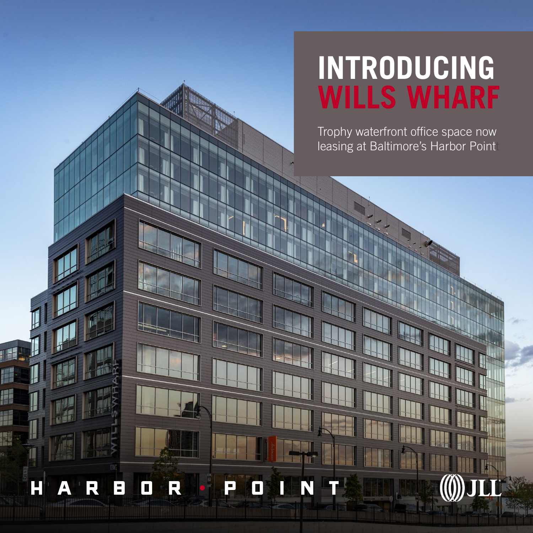## **INTRODUCING WILLS WHARF**

Trophy waterfront office space now leasing at Baltimore's Harbor Point

H  $\boldsymbol{\mathsf{D}}$ E П ш N  $\Box$  $\Delta$ 

1

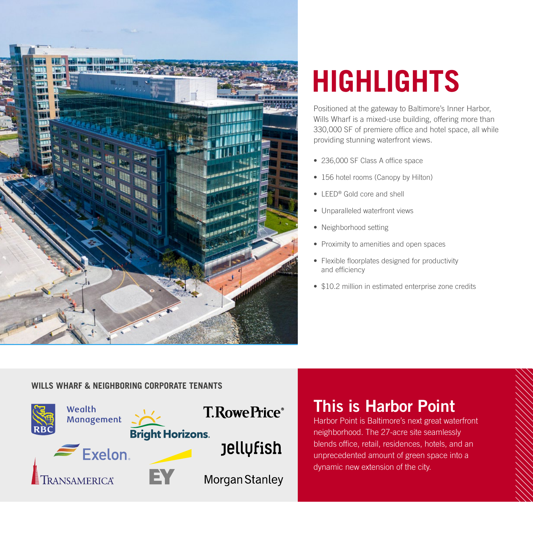

# **HIGHLIGHTS**

Positioned at the gateway to Baltimore's Inner Harbor, Wills Wharf is a mixed-use building, offering more than 330,000 SF of premiere office and hotel space, all while providing stunning waterfront views.

- 236,000 SF Class A office space
- 156 hotel rooms (Canopy by Hilton)
- LEED<sup>®</sup> Gold core and shell
- Unparalleled waterfront views
- Neighborhood setting
- Proximity to amenities and open spaces
- Flexible floorplates designed for productivity and efficiency
- \$10.2 million in estimated enterprise zone credits

#### **WILLS WHARF & NEIGHBORING CORPORATE TENANTS**



### This is Harbor Point

Harbor Point is Baltimore's next great waterfront neighborhood. The 27-acre site seamlessly blends office, retail, residences, hotels, and an unprecedented amount of green space into a dynamic new extension of the city.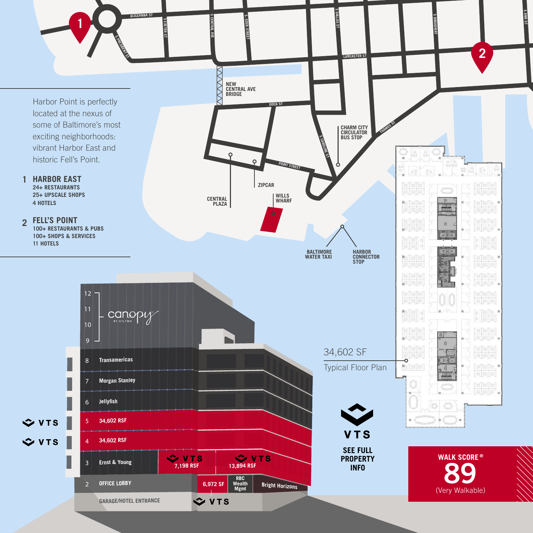